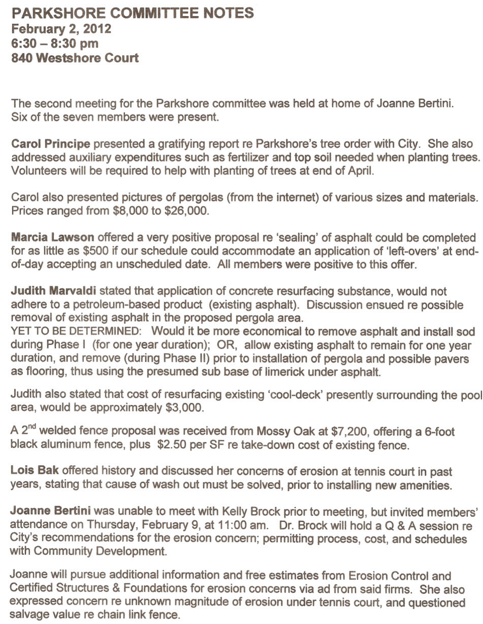## **PARKSHORE COMMITTEE NOTES February 2, 2012 6:30 - 8:30 pm 840 Westshore Court**

The second meeting for the Parkshore committee was held at home of Joanne Bertini. Six of the seven members were present.

**Carol Principe** presented a gratifying report re Parkshore's tree order with City. She also addressed auxiliary expenditures such as fertilizer and top soil needed when planting trees. Volunteers will be required to help with planting of trees at end of April.

Carol also presented pictures of pergolas (from the internet) of various sizes and materials. Prices ranged from \$8,000 to \$26,000.

**Marcia Lawson** offered a very positive proposal re 'sealing' of asphalt could be completed for as little as \$500 if our schedule could accommodate an application of 'left-overs' at endof-day accepting an unscheduled date. All members were positive to this offer.

**Judith Marvaldi** stated that application of concrete resurfacing substance, would not adhere to a petroleum-based product (existing asphalt). Discussion ensued re possible removal of existing asphalt in the proposed pergola area.

YET TO BE DETERMINED: Would it be more economical to remove asphalt and install sod during Phase I (for one year duration); OR, allow existing asphalt to remain for one year duration, and remove (during Phase II) prior to installation of pergola and possible pavers as flooring, thus using the presumed sub base of limerick under asphalt.

Judith also stated that cost of resurfacing existing 'cool-deck' presently surrounding the pool area, would be approximately \$3,000.

A 2<sup>nd</sup> welded fence proposal was received from Mossy Oak at \$7,200, offering a 6-foot black aluminum fence, plus \$2.50 per SF re take-down cost of existing fence.

**Lois Bak** offered history and discussed her concerns of erosion at tennis court in past years, stating that cause of wash out must be solved, prior to installing new amenities.

**Joanne Bertini** was unable to meet with Kelly Brock prior to meeting, but invited members' attendance on Thursday, February 9, at 11:00 am. Dr. Brock will hold a Q & A session re City's recommendations for the erosion concern; permitting process, cost, and schedules with Community Development.

Joanne will pursue additional information and free estimates from Erosion Control and Certified Structures & Foundations for erosion concerns via ad from said firms. She also expressed concern re unknown magnitude of erosion under tennis court, and questioned salvage value re chain link fence.